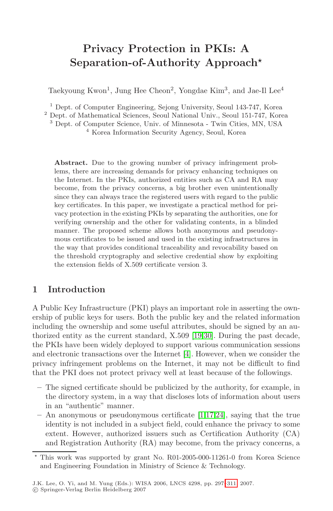# **Privacy Protection in PKIs: A Separation-of-Authority Approach***-*

Taekyoung Kwon<sup>1</sup>, Jung Hee Cheon<sup>2</sup>, Yongdae Kim<sup>3</sup>, and Jae-Il Lee<sup>4</sup>

<sup>1</sup> Dept. of Computer Engineering, Sejong University, Seoul 143-747, Korea <sup>2</sup> Dept. of Mathematical Sciences, Seoul National Univ., Seoul 151-747, Korea <sup>3</sup> Dept. of Computer Science, Univ. of Minnesota - Twin Cities, MN, USA

<sup>4</sup> Korea Information Security Agency, Seoul, Korea

**Abstract.** Due to the growing number of privacy infringement problems, there are increasing demands for privacy enhancing techniques on the Internet. In the PKIs, authorized entities such as CA and RA may become, from the privacy concerns, a big brother even unintentionally since they can always trace the registered users with regard to the public key certificates. In this paper, we investigate a practical method for privacy protection in the existing PKIs by separating the authorities, one for verifying ownership and the other for validating contents, in a blinded manner. The proposed scheme allows both anonymous and pseudonymous certificates to be issued and used in the existing infrastructures in the way that provides conditional traceability and revocability based on the threshold cryptography and selective credential show by exploiting the extension fields of X.509 certificate version 3.

## **1 Introduction**

A Public Key Infrastructure (PKI) plays an important role in asserting the ownership of public keys for users. Both the public key and the related information including the ownership and some useful attributes, should be signed by an authorized entity as the current standard, X.509 [19,30]. During the past decade, the PKIs have been widely deployed to support various communication sessions and electronic transactions over the Internet [4]. However, when we consider the privacy infringement problems on the Internet, it may not be difficult to find that the PKI does not protect privacy well at least because of the followings.

- **–** The signed certificate should be publicized by the authority, for example, in the directory system, in a way that discloses lots of information about users in an "authentic" manner.
- **–** An anonymous or pseudonymous certificate [1,17,24], saying that the true identity is not included in a subject field, could enhance the privacy to some extent. However, authorized issuers such as Certification Authority (CA) and Registration Authority (RA) may become, from the privacy concerns, a

<sup>-</sup> This work was supported by grant No. R01-2005-000-11261-0 from Korea Science and Engineering Foundation in Ministry of Science & Technology.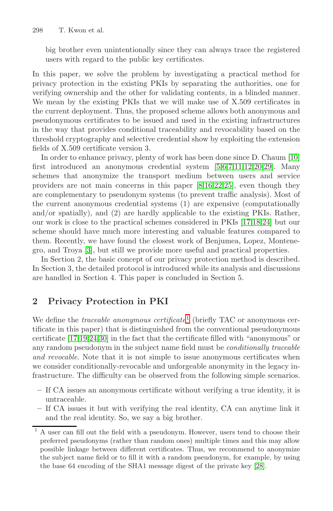big brother even unintentionally since they can always trace the registered users with regard to the public key certificates.

In this paper, we solve the problem by investigating a practical method for privacy protection in the existing PKIs by separating the authorities, one for verifying ownership and the other for validating contents, in a blinded manner. We mean by the existing PKIs that we will make use of X.509 certificates in the current deployment. Thus, the proposed scheme allows both anonymous and pseudonymous certificates to be issued and used in the existing infrastructures in the way that provides conditional traceability and revocability based on the threshold cryptography and selective credential show by exploiting the extension fields of X.509 certificate version 3.

In order to enhance privacy, plenty of work has been done since D. Chaum [10] first introduced an anonymous credential system [5,6,7,11,12,20,29]. Many schemes that anonymize the transport medium between users and service providers are not main concerns in this paper [8,16,22,25], even though they are complementary to pseudonym systems (to prevent traffic analysis). Most of the current anonymous credential systems (1) are expensive (computationally and/or spatially), and (2) are hardly applicable to the existing PKIs. Rather, our work is close to the practical schemes considered in PKIs [17,18,24] but our scheme should have much more interesting and valuable features compared to them. Recently, we have found the closest work of Benjumea, Lopez, Montenegro, and Troya [3], but still we provide more useful and practical properties.

In Section 2, the basic concept of our privacy protection method is described. In Section 3, the detailed protocol is introduced while its analysis and discussions are handled in Section 4. This paper is concluded in Section 5.

# **2 Privacy Protection in PKI**

We define the *traceable anonymous certificate*<sup>1</sup> (briefly TAC or anonymous certificate in this paper) that is distinguished from the conventional pseudonymous certificate [17,19,24,30] in the fact that the certificate filled with "anonymous" or any random pseudonym in the subject name field must be conditionally traceable and revocable. Note that it is not simple to issue anonymous certificates when we consider conditionally-revocable and unforgeable anonymity in the legacy infrastructure. The difficulty can be observed from the following simple scenarios.

- **–** If CA issues an anonymous certificate without verifying a true identity, it is untraceable.
- **–** If CA issues it but with verifying the real identity, CA can anytime link it and the real identity. So, we say a big brother.

 $^{\rm 1}$  A user can fill out the field with a pseudonym. However, users tend to choose their preferred pseudonyms (rather than random ones) multiple times and this may allow possible linkage between different certificates. Thus, we recommend to anonymize the subject name field or to fill it with a random pseudonym, for example, by using the base 64 encoding of the SHA1 message digest of the private key [28].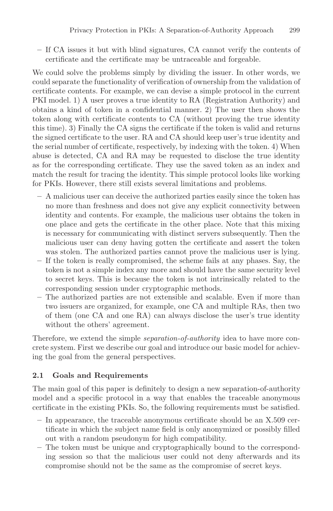**–** If CA issues it but with blind signatures, CA cannot verify the contents of certificate and the certificate may be untraceable and forgeable.

We could solve the problems simply by dividing the issuer. In other words, we could separate the functionality of verification of ownership from the validation of certificate contents. For example, we can devise a simple protocol in the current PKI model. 1) A user proves a true identity to RA (Registration Authority) and obtains a kind of token in a confidential manner. 2) The user then shows the token along with certificate contents to CA (without proving the true identity this time). 3) Finally the CA signs the certificate if the token is valid and returns the signed certificate to the user. RA and CA should keep user's true identity and the serial number of certificate, respectively, by indexing with the token. 4) When abuse is detected, CA and RA may be requested to disclose the true identity as for the corresponding certificate. They use the saved token as an index and match the result for tracing the identity. This simple protocol looks like working for PKIs. However, there still exists several limitations and problems.

- **–** A malicious user can deceive the authorized parties easily since the token has no more than freshness and does not give any explicit connectivity between identity and contents. For example, the malicious user obtains the token in one place and gets the certificate in the other place. Note that this mixing is necessary for communicating with distinct servers subsequently. Then the malicious user can deny having gotten the certificate and assert the token was stolen. The authorized parties cannot prove the malicious user is lying.
- **–** If the token is really compromised, the scheme fails at any phases. Say, the token is not a simple index any more and should have the same security level to secret keys. This is because the token is not intrinsically related to the corresponding session under cryptographic methods.
- **–** The authorized parties are not extensible and scalable. Even if more than two issuers are organized, for example, one CA and multiple RAs, then two of them (one CA and one RA) can always disclose the user's true identity without the others' agreement.

Therefore, we extend the simple separation-of-authority idea to have more concrete system. First we describe our goal and introduce our basic model for achieving the goal from the general perspectives.

#### **2.1 Goals and Requirements**

The main goal of this paper is definitely to design a new separation-of-authority model and a specific protocol in a way that enables the traceable anonymous certificate in the existing PKIs. So, the following requirements must be satisfied.

- **–** In appearance, the traceable anonymous certificate should be an X.509 certificate in which the subject name field is only anonymized or possibly filled out with a random pseudonym for high compatibility.
- **–** The token must be unique and cryptographically bound to the corresponding session so that the malicious user could not deny afterwards and its compromise should not be the same as the compromise of secret keys.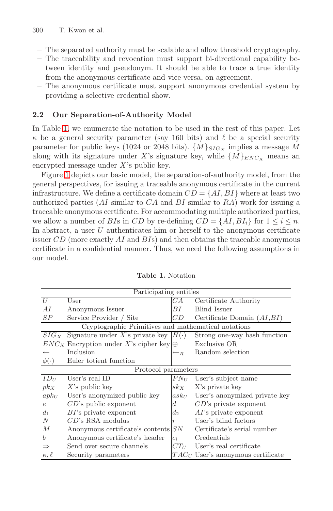- **–** The separated authority must be scalable and allow threshold cryptography.
- **–** The traceability and revocation must support bi-directional capability between identity and pseudonym. It should be able to trace a true identity from the anonymous certificate and vice versa, on agreement.
- **–** The anonymous certificate must support anonymous credential system by providing a selective credential show.

#### **2.2 Our Separation-of-Authority Model**

In Table 1, we enumerate the notation to be used in the rest of this paper. Let  $\kappa$  be a general security parameter (say 160 bits) and  $\ell$  be a special security parameter for public keys (1024 or 2048 bits).  $\{M\}_{SIG_X}$  implies a message M along with its signature under X's signature key, while  $\{M\}_{ENC_X}$  means an encrypted message under X's public key.

Figure 1 depicts our basic model, the separation-of-authority model, from the general perspectives, for issuing a traceable anonymous certificate in the current infrastructure. We define a certificate domain  $CD = \{AI, BI\}$  where at least two authorized parties  $(AI)$  similar to  $CA$  and  $BI$  similar to  $RA$ ) work for issuing a traceable anonymous certificate. For accommodating multiple authorized parties, we allow a number of BIs in CD by re-defining  $CD = \{AI, BI_i\}$  for  $1 \le i \le n$ . In abstract, a user U authenticates him or herself to the anonymous certificate issuer  $CD$  (more exactly  $AI$  and  $BIs$ ) and then obtains the traceable anonymous certificate in a confidential manner. Thus, we need the following assumptions in our model.

| Participating entities                              |                                                      |                  |                                      |
|-----------------------------------------------------|------------------------------------------------------|------------------|--------------------------------------|
| U                                                   | User                                                 | CА               | Certificate Authority                |
| AI                                                  | Anonymous Issuer                                     | ΒI               | <b>Blind Issuer</b>                  |
| SP                                                  | Service Provider / Site                              | CD               | Certificate Domain $(AI,BI)$         |
| Cryptographic Primitives and mathematical notations |                                                      |                  |                                      |
|                                                     | $SIG_X$ Signature under X's private key $ H(\cdot) $ |                  | Strong one-way hash function         |
|                                                     | $ENC_X$ Encryption under X's cipher key              |                  | Exclusive OR                         |
|                                                     | Inclusion                                            | $\leftarrow_R$   | Random selection                     |
| $\phi(\cdot)$                                       | Euler totient function                               |                  |                                      |
| Protocol parameters                                 |                                                      |                  |                                      |
| $ID_{II}$                                           | User's real ID                                       | $PN_U$           | User's subject name                  |
| $pk_X$                                              | $X$ 's public key                                    | $sk_{X}$         | X's private key                      |
| apk <sub>U</sub>                                    | User's anonymized public key                         | $ask_U$          | User's anonymized private key        |
| $\epsilon$                                          | $CD$ 's public exponent                              | d.               | $CD$ 's private exponent             |
| $d_1$                                               | $BI$ 's private exponent                             | $d_2$            | $AI$ 's private exponent             |
| N                                                   | $CD$ 's RSA modulus                                  | $\boldsymbol{r}$ | User's blind factors                 |
| M                                                   | Anonymous certificate's contents $SN$                |                  | Certificate's serial number          |
| h                                                   | Anonymous certificate's header                       | $c_i$            | Credentials                          |
| $\Rightarrow$                                       | Send over secure channels                            | $CT_U$           | User's real certificate              |
| $\kappa, \ell$                                      | Security parameters                                  |                  | $TAC_U$ User's anonymous certificate |

**Table 1.** Notation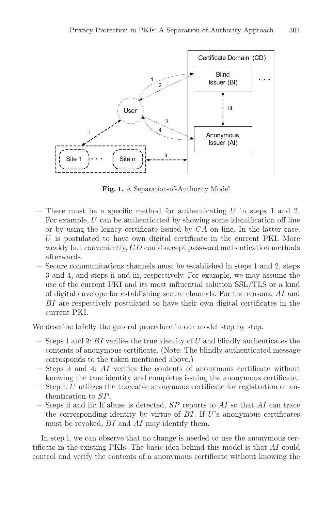

**Fig. 1.** A Separation-of-Authority Model

- **–** There must be a specific method for authenticating U in steps 1 and 2. For example,  $U$  can be authenticated by showing some identification off line or by using the legacy certificate issued by  $CA$  on line. In the latter case,  $U$  is postulated to have own digital certificate in the current PKI. More weakly but conveniently, CD could accept password authentication methods afterwards.
- **–** Secure communications channels must be established in steps 1 and 2, steps 3 and 4, and steps ii and iii, respectively. For example, we may assume the use of the current PKI and its most influential solution SSL/TLS or a kind of digital envelope for establishing secure channels. For the reasons, AI and BI are respectively postulated to have their own digital certificates in the current PKI.

We describe briefly the general procedure in our model step by step.

- **–** Steps 1 and 2: BI verifies the true identity of U and blindly authenticates the contents of anonymous certificate. (Note: The blindly authenticated message corresponds to the token mentioned above.)
- **–** Steps 3 and 4: AI verifies the contents of anonymous certificate without knowing the true identity and completes issuing the anonymous certificate.
- **–** Step i: U utilizes the traceable anonymous certificate for registration or authentication to SP.
- **–** Steps ii and iii: If abuse is detected, SP reports to AI so that AI can trace the corresponding identity by virtue of  $BI$ . If  $U$ 's anonymous certificates must be revoked, BI and AI may identify them.

In step i, we can observe that no change is needed to use the anonymous certificate in the existing PKIs. The basic idea behind this model is that AI could control and verify the contents of a anonymous certificate without knowing the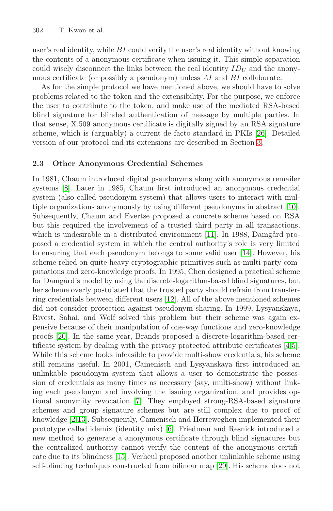user's real identity, while  $BI$  could verify the user's real identity without knowing the contents of a anonymous certificate when issuing it. This simple separation could wisely disconnect the links between the real identity  $ID_U$  and the anonymous certificate (or possibly a pseudonym) unless AI and BI collaborate.

As for the simple protocol we have mentioned above, we should have to solve problems related to the token and the extensibility. For the purpose, we enforce the user to contribute to the token, and make use of the mediated RSA-based blind signature for blinded authentication of message by multiple parties. In that sense, X.509 anonymous certificate is digitally signed by an RSA signature scheme, which is (arguably) a current de facto standard in PKIs [26]. Detailed version of our protocol and its extensions are described in Section 3.

#### **2.3 Other Anonymous Credential Schemes**

In 1981, Chaum introduced digital pseudonyms along with anonymous remailer systems [8]. Later in 1985, Chaum first introduced an anonymous credential system (also called pseudonym system) that allows users to interact with multiple organizations anonymously by using different pseudonyms in abstract [10]. Subsequently, Chaum and Evertse proposed a concrete scheme based on RSA but this required the involvement of a trusted third party in all transactions, which is undesirable in a distributed environment  $[11]$ . In 1988, Damgård proposed a credential system in which the central authority's role is very limited to ensuring that each pseudonym belongs to some valid user [14]. However, his scheme relied on quite heavy cryptographic primitives such as multi-party computations and zero-knowledge proofs. In 1995, Chen designed a practical scheme for Damgård's model by using the discrete-logarithm-based blind signatures, but her scheme overly postulated that the trusted party should refrain from transferring credentials between different users [12]. All of the above mentioned schemes did not consider protection against pseudonym sharing. In 1999, Lysyanskaya, Rivest, Sahai, and Wolf solved this problem but their scheme was again expensive because of their manipulation of one-way functions and zero-knowledge proofs [20]. In the same year, Brands proposed a discrete-logarithm-based certificate system by dealing with the privacy protected attribute certificates [4,5]. While this scheme looks infeasible to provide multi-show credentials, his scheme still remains useful. In 2001, Camenisch and Lysyanskaya first introduced an unlinkable pseudonym system that allows a user to demonstrate the possession of credentials as many times as necessary (say, multi-show) without linking each pseudonym and involving the issuing organization, and provides optional anonymity revocation [7]. They employed strong-RSA-based signature schemes and group signature schemes but are still complex due to proof of knowledge [2,13]. Subsequently, Camenisch and Herreweghen implemented their prototype called idemix (identity mix) [6]. Friedman and Resnick introduced a new method to generate a anonymous certificate through blind signatures but the centralized authority cannot verify the content of the anonymous certificate due to its blindness [15]. Verheul proposed another unlinkable scheme using self-blinding techniques constructed from bilinear map [29]. His scheme does not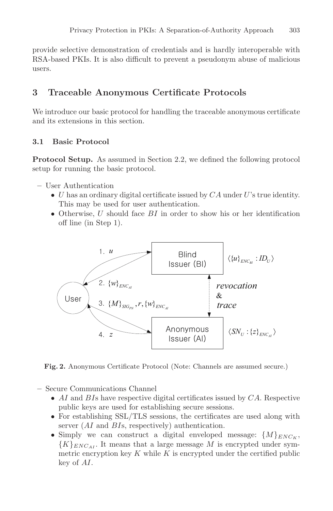provide selective demonstration of credentials and is hardly interoperable with RSA-based PKIs. It is also difficult to prevent a pseudonym abuse of malicious users.

## **3 Traceable Anonymous Certificate Protocols**

We introduce our basic protocol for handling the traceable anonymous certificate and its extensions in this section.

#### **3.1 Basic Protocol**

**Protocol Setup.** As assumed in Section 2.2, we defined the following protocol setup for running the basic protocol.

- **–** User Authentication
	- U has an ordinary digital certificate issued by  $CA$  under U's true identity. This may be used for user authentication.
	- Otherwise,  $U$  should face  $BI$  in order to show his or her identification off line (in Step 1).



**Fig. 2.** Anonymous Certificate Protocol (Note: Channels are assumed secure.)

**–** Secure Communications Channel

- AI and BIs have respective digital certificates issued by  $CA$ . Respective public keys are used for establishing secure sessions.
- For establishing SSL/TLS sessions, the certificates are used along with server (AI and BIs, respectively) authentication.
- Simply we can construct a digital enveloped message:  $\{M\}_{ENC_K}$ ,  ${K}_{ENC_{4I}}$ . It means that a large message M is encrypted under symmetric encryption key  $K$  while  $K$  is encrypted under the certified public key of AI.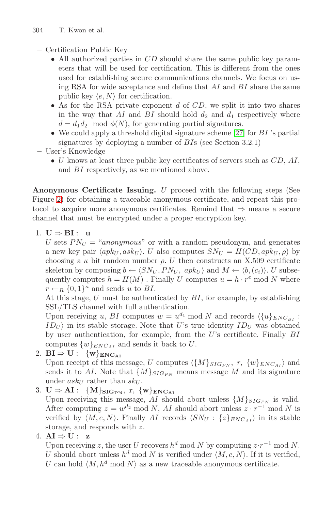- **–** Certification Public Key
	- All authorized parties in CD should share the same public key parameters that will be used for certification. This is different from the ones used for establishing secure communications channels. We focus on using RSA for wide acceptance and define that  $AI$  and  $BI$  share the same public key  $\langle e, N \rangle$  for certification.
	- As for the RSA private exponent  $d$  of  $CD$ , we split it into two shares in the way that AI and BI should hold  $d_2$  and  $d_1$  respectively where  $d = d_1 d_2 \mod \phi(N)$ , for generating partial signatures.
	- We could apply a threshold digital signature scheme [27] for  $BI$  's partial signatures by deploying a number of BIs (see Section 3.2.1)
- **–** User's Knowledge
	- U knows at least three public key certificates of servers such as  $CD, AI$ , and BI respectively, as we mentioned above.

**Anonymous Certificate Issuing.** U proceed with the following steps (See Figure 2) for obtaining a traceable anonymous certificate, and repeat this protocol to acquire more anonymous certificates. Remind that  $\Rightarrow$  means a secure channel that must be encrypted under a proper encryption key.

1.  $U \Rightarrow BI: u$ 

U sets  $PN_U = "anonymous"$  or with a random pseudonym, and generates a new key pair  $\langle apk_U, ask_U \rangle$ . U also computes  $SN_U = H(CD, apk_U, \rho)$  by choosing a  $\kappa$  bit random number  $\rho$ . U then constructs an X.509 certificate skeleton by composing  $b \leftarrow \langle SN_U, PN_U, \ a \rho k_U \rangle$  and  $M \leftarrow \langle b, (c_i) \rangle$ . U subsequently computes  $h = H(M)$ . Finally U computes  $u = h \cdot r^e \mod N$  where  $r \leftarrow_R \{0,1\}^{\kappa}$  and sends u to BI.

At this stage, U must be authenticated by  $BI$ , for example, by establishing SSL/TLS channel with full authentication.

Upon receiving u, BI computes  $w = u^{d_1} \bmod N$  and records  $\langle \{u\}_{ENC_{BI}}$ :  $ID_U$ ) in its stable storage. Note that U's true identity  $ID_U$  was obtained by user authentication, for example, from the  $U$ 's certificate. Finally  $BI$ computes  $\{w\}_{ENC_{AI}}$  and sends it back to U.

2.  $BI \Rightarrow U: \{w\}_{ENC_{AI}}$ 

Upon receipt of this message, U computes  $\{M\}_{SIG_{PN}}$ , r,  $\{w\}_{ENCAI}$  and sends it to AI. Note that  $\{M\}_{SIG_{PN}}$  means message M and its signature under  $ask_U$  rather than  $sk_U$ .

3.  $U \Rightarrow AI:$   $\{M\}_{SIG_{PN}}, r, \{w\}_{ENC_{AI}}$ 

Upon receiving this message, AI should abort unless  $\{M\}_{SIG_{PN}}$  is valid. After computing  $z = w^{d_2} \mod N$ , AI should abort unless  $z \cdot r^{-1} \mod N$  is verified by  $\langle M, e, N \rangle$ . Finally AI records  $\langle SN_U : \{z\}_{ENC_{AI}} \rangle$  in its stable storage, and responds with z.

4.  $AI \Rightarrow U: z$ 

Upon receiving z, the user U recovers  $h^d$  mod N by computing  $z \cdot r^{-1}$  mod N. U should abort unless  $h^d$  mod N is verified under  $\langle M, e, N \rangle$ . If it is verified, U can hold  $\langle M, h^d \bmod N \rangle$  as a new traceable anonymous certificate.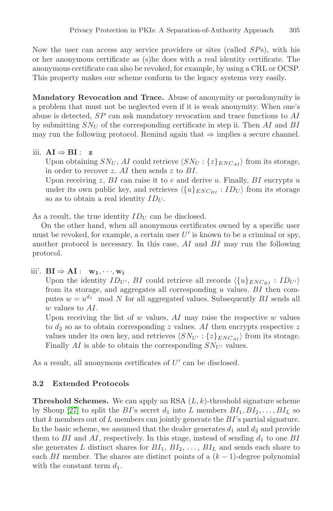Now the user can access any service providers or sites (called SPs), with his or her anonymous certificate as (s)he does with a real identity certificate. The anonymous certificate can also be revoked, for example, by using a CRL or OCSP. This property makes our scheme conform to the legacy systems very easily.

**Mandatory Revocation and Trace.** Abuse of anonymity or pseudonymity is a problem that must not be neglected even if it is weak anonymity. When one's abuse is detected, SP can ask mandatory revocation and trace functions to AI by submitting  $SN_U$  of the corresponding certificate in step ii. Then AI and BI may run the following protocol. Remind again that  $\Rightarrow$  implies a secure channel.

iii. **AI** ⇒ **BI** : **z**

Upon obtaining  $SN_U$ , AI could retrieve  $\langle SN_U : \{z\}_{ENC_{AI}} \rangle$  from its storage, in order to recover z. AI then sends z to BI.

Upon receiving  $z$ ,  $BI$  can raise it to  $e$  and derive  $u$ . Finally,  $BI$  encrypts  $u$ under its own public key, and retrieves  $\langle \{u\}_{ENC_{BI}} : ID_U \rangle$  from its storage so as to obtain a real identity  $ID_U$ .

As a result, the true identity  $ID_U$  can be disclosed.

On the other hand, when all anonymous certificates owned by a specific user must be revoked, for example, a certain user  $U'$  is known to be a criminal or spy, another protocol is necessary. In this case, AI and BI may run the following protocol.

#### iii'. **BI**  $\Rightarrow$  **AI** : **w**<sub>1</sub>,  $\cdots$ , **w**<sub>i</sub>

Upon the identity  $ID_{U'}$ , BI could retrieve all records  $\langle \{u\}_{ENC_{BI}} : ID_{U'} \rangle$ from its storage, and aggregates all corresponding  $u$  values.  $BI$  then computes  $w = u^{d_1} \mod N$  for all aggregated values. Subsequently BI sends all w values to AI.

Upon receiving the list of  $w$  values,  $AI$  may raise the respective  $w$  values to  $d_2$  so as to obtain corresponding z values. AI then encrypts respective z values under its own key, and retrieves  $\langle SN_{U'} : \{z\}_{ENC_{AI}} \rangle$  from its storage. Finally AI is able to obtain the corresponding  $SN_{U'}$  values.

As a result, all anonymous certificates of  $U'$  can be disclosed.

#### **3.2 Extended Protocols**

**Threshold Schemes.** We can apply an RSA  $(L, k)$ -threshold signature scheme by Shoup [27] to split the BI's secret  $d_1$  into L members  $BI_1, BI_2, \ldots, BI_L$  so that  $k$  members out of  $L$  members can jointly generate the  $BI$ 's partial signature. In the basic scheme, we assumed that the dealer generates  $d_1$  and  $d_2$  and provide them to BI and AI, respectively. In this stage, instead of sending  $d_1$  to one BI she generates L distinct shares for  $BI_1, BI_2, \ldots, BI_L$  and sends each share to each BI member. The shares are distinct points of a  $(k-1)$ -degree polynomial with the constant term  $d_1$ .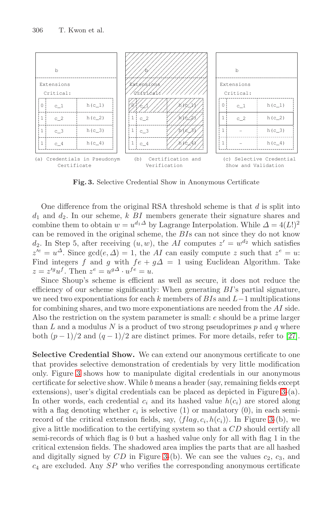

**Fig. 3.** Selective Credential Show in Anonymous Certificate

One difference from the original RSA threshold scheme is that  $d$  is split into  $d_1$  and  $d_2$ . In our scheme, k BI members generate their signature shares and combine them to obtain  $w = u^{d_1 \Delta}$  by Lagrange Interpolation. While  $\Delta = 4(L!)^2$ can be removed in the original scheme, the BIs can not since they do not know  $d_2$ . In Step 5, after receiving  $(u, w)$ , the AI computes  $z' = w^{d_2}$  which satisfies  $z'^e = u^{\Delta}$ . Since  $gcd(e, \Delta) = 1$ , the AI can easily compute z such that  $z^e = u$ . Find integers f and g with  $fe + g\Delta = 1$  using Euclidean Algorithm. Take  $z = z'^{g}u^{f}$ . Then  $z^{e} = u^{g\Delta} \cdot u^{fe} = u$ .

Since Shoup's scheme is efficient as well as secure, it does not reduce the efficiency of our scheme significantly: When generating  $BI$ 's partial signature, we need two exponentiations for each k members of  $BIs$  and  $L-1$  multiplications for combining shares, and two more exponentiations are needed from the  $AI$  side. Also the restriction on the system parameter is small: e should be a prime larger than  $L$  and a modulus  $N$  is a product of two strong pseudoprimes  $p$  and  $q$  where both  $(p-1)/2$  and  $(q-1)/2$  are distinct primes. For more details, refer to [27].

**Selective Credential Show.** We can extend our anonymous certificate to one that provides selective demonstration of credentials by very little modification only. Figure 3 shows how to manipulate digital credentials in our anonymous certificate for selective show. While b means a header (say, remaining fields except extensions), user's digital credentials can be placed as depicted in Figure 3-(a). In other words, each credential  $c_i$  and its hashed value  $h(c_i)$  are stored along with a flag denoting whether  $c_i$  is selective (1) or mandatory (0), in each semirecord of the critical extension fields, say,  $\langle flag, c_i, h(c_i) \rangle$ . In Figure 3-(b), we give a little modification to the certifying system so that a CD should certify all semi-records of which flag is 0 but a hashed value only for all with flag 1 in the critical extension fields. The shadowed area implies the parts that are all hashed and digitally signed by  $CD$  in Figure 3-(b). We can see the values  $c_2$ ,  $c_3$ , and  $c_4$  are excluded. Any  $SP$  who verifies the corresponding anonymous certificate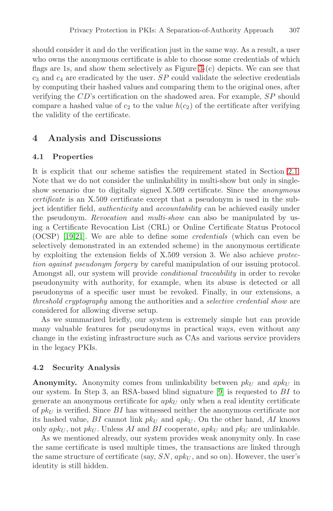should consider it and do the verification just in the same way. As a result, a user who owns the anonymous certificate is able to choose some credentials of which flags are 1s, and show them selectively as Figure 3-(c) depicts. We can see that  $c_3$  and  $c_4$  are eradicated by the user.  $SP$  could validate the selective credentials by computing their hashed values and comparing them to the original ones, after verifying the CD's certification on the shadowed area. For example, SP should compare a hashed value of  $c_2$  to the value  $h(c_2)$  of the certificate after verifying the validity of the certificate.

#### **4 Analysis and Discussions**

#### **4.1 Properties**

It is explicit that our scheme satisfies the requirement stated in Section 2.1. Note that we do not consider the unlinkability in multi-show but only in singleshow scenario due to digitally signed X.509 certificate. Since the *anonymous* certificate is an X.509 certificate except that a pseudonym is used in the subject identifier field, *authenticity* and *accountability* can be achieved easily under the pseudonym. Revocation and multi-show can also be manipulated by using a Certificate Revocation List (CRL) or Online Certificate Status Protocol (OCSP) [19,21]. We are able to define some credentials (which can even be selectively demonstrated in an extended scheme) in the anonymous certificate by exploiting the extension fields of X.509 version 3. We also achieve protection against pseudonym forgery by careful manipulation of our issuing protocol. Amongst all, our system will provide conditional traceability in order to revoke pseudonymity with authority, for example, when its abuse is detected or all pseudonyms of a specific user must be revoked. Finally, in our extensions, a threshold cryptography among the authorities and a selective credential show are considered for allowing diverse setup.

As we summarized briefly, our system is extremely simple but can provide many valuable features for pseudonyms in practical ways, even without any change in the existing infrastructure such as CAs and various service providers in the legacy PKIs.

#### **4.2 Security Analysis**

**Anonymity.** Anonymity comes from unlinkability between  $pk_U$  and  $apk_U$  in our system. In Step 3, an RSA-based blind signature  $[9]$  is requested to BI to generate an anonymous certificate for  $apk<sub>U</sub>$  only when a real identity certificate of  $pk_U$  is verified. Since BI has witnessed neither the anonymous certificate nor its hashed value, BI cannot link  $pk_U$  and  $apk_U$ . On the other hand, AI knows only  $apky$ , not  $pkU$ . Unless AI and BI cooperate,  $apky$  and  $pkU$  are unlinkable.

As we mentioned already, our system provides weak anonymity only. In case the same certificate is used multiple times, the transactions are linked through the same structure of certificate (say,  $SN$ ,  $apk<sub>U</sub>$ , and so on). However, the user's identity is still hidden.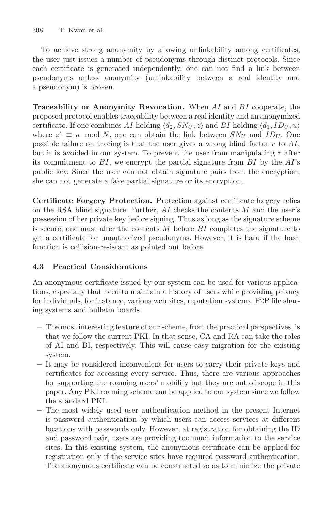To achieve strong anonymity by allowing unlinkability among certificates, the user just issues a number of pseudonyms through distinct protocols. Since each certificate is generated independently, one can not find a link between pseudonyms unless anonymity (unlinkability between a real identity and a pseudonym) is broken.

**Traceability or Anonymity Revocation.** When AI and BI cooperate, the proposed protocol enables traceability between a real identity and an anonymized certificate. If one combines AI holding  $\langle d_2, SN_U, z \rangle$  and BI holding  $\langle d_1, ID_U, u \rangle$ where  $z^e \equiv u \mod N$ , one can obtain the link between  $SN_U$  and  $ID_U$ . One possible failure on tracing is that the user gives a wrong blind factor  $r$  to  $AI$ , but it is avoided in our system. To prevent the user from manipulating  $r$  after its commitment to  $BI$ , we encrypt the partial signature from  $BI$  by the  $AI$ 's public key. Since the user can not obtain signature pairs from the encryption, she can not generate a fake partial signature or its encryption.

**Certificate Forgery Protection.** Protection against certificate forgery relies on the RSA blind signature. Further, AI checks the contents M and the user's possession of her private key before signing. Thus as long as the signature scheme is secure, one must alter the contents  $M$  before  $BI$  completes the signature to get a certificate for unauthorized pseudonyms. However, it is hard if the hash function is collision-resistant as pointed out before.

## **4.3 Practical Considerations**

An anonymous certificate issued by our system can be used for various applications, especially that need to maintain a history of users while providing privacy for individuals, for instance, various web sites, reputation systems, P2P file sharing systems and bulletin boards.

- **–** The most interesting feature of our scheme, from the practical perspectives, is that we follow the current PKI. In that sense, CA and RA can take the roles of AI and BI, respectively. This will cause easy migration for the existing system.
- **–** It may be considered inconvenient for users to carry their private keys and certificates for accessing every service. Thus, there are various approaches for supporting the roaming users' mobility but they are out of scope in this paper. Any PKI roaming scheme can be applied to our system since we follow the standard PKI.
- **–** The most widely used user authentication method in the present Internet is password authentication by which users can access services at different locations with passwords only. However, at registration for obtaining the ID and password pair, users are providing too much information to the service sites. In this existing system, the anonymous certificate can be applied for registration only if the service sites have required password authentication. The anonymous certificate can be constructed so as to minimize the private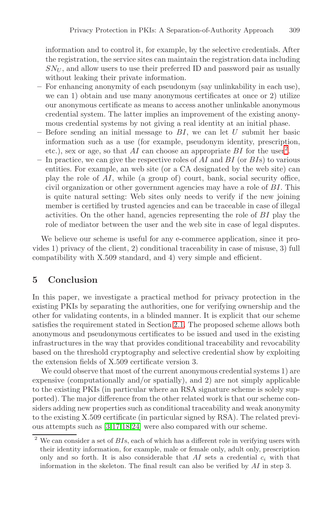information and to control it, for example, by the selective credentials. After the registration, the service sites can maintain the registration data including  $SN_{U}$ , and allow users to use their preferred ID and password pair as usually without leaking their private information.

- **–** For enhancing anonymity of each pseudonym (say unlinkability in each use), we can 1) obtain and use many anonymous certificates at once or 2) utilize our anonymous certificate as means to access another unlinkable anonymous credential system. The latter implies an improvement of the existing anonymous credential systems by not giving a real identity at an initial phase.
- **–** Before sending an initial message to BI, we can let U submit her basic information such as a use (for example, pseudonym identity, prescription, etc.), sex or age, so that AI can choose an appropriate BI for the user<sup>2</sup>.
- **–** In practice, we can give the respective roles of AI and BI (or BIs) to various entities. For example, an web site (or a CA designated by the web site) can play the role of AI, while (a group of) court, bank, social security office, civil organization or other government agencies may have a role of BI. This is quite natural setting: Web sites only needs to verify if the new joining member is certified by trusted agencies and can be traceable in case of illegal activities. On the other hand, agencies representing the role of BI play the role of mediator between the user and the web site in case of legal disputes.

We believe our scheme is useful for any e-commerce application, since it provides 1) privacy of the client, 2) conditional traceability in case of misuse, 3) full compatibility with X.509 standard, and 4) very simple and efficient.

## **5 Conclusion**

In this paper, we investigate a practical method for privacy protection in the existing PKIs by separating the authorities, one for verifying ownership and the other for validating contents, in a blinded manner. It is explicit that our scheme satisfies the requirement stated in Section 2.1. The proposed scheme allows both anonymous and pseudonymous certificates to be issued and used in the existing infrastructures in the way that provides conditional traceability and revocability based on the threshold cryptography and selective credential show by exploiting the extension fields of X.509 certificate version 3.

We could observe that most of the current anonymous credential systems 1) are expensive (computationally and/or spatially), and 2) are not simply applicable to the existing PKIs (in particular where an RSA signature scheme is solely supported). The major difference from the other related work is that our scheme considers adding new properties such as conditional traceability and weak anonymity to the existing X.509 certificate (in particular signed by RSA). The related previous attempts such as [3,17,18,24] were also compared with our scheme.

 $2$  We can consider a set of  $BIs$ , each of which has a different role in verifying users with their identity information, for example, male or female only, adult only, prescription only and so forth. It is also considerable that  $AI$  sets a credential  $c_i$  with that information in the skeleton. The final result can also be verified by AI in step 3.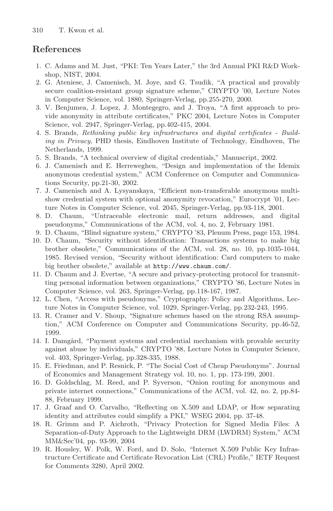# **References**

- 1. C. Adams and M. Just, "PKI: Ten Years Later," the 3rd Annual PKI R&D Workshop, NIST, 2004.
- 2. G. Ateniese, J. Camenisch, M. Joye, and G. Tsudik, "A practical and provably secure coalition-resistant group signature scheme," CRYPTO '00, Lecture Notes in Computer Science, vol. 1880, Springer-Verlag, pp.255-270, 2000.
- 3. V. Benjumea, J. Lopez, J. Montegegro, and J. Troya, "A first approach to provide anonymity in attribute certificates," PKC 2004, Lecture Notes in Computer Science, vol. 2947, Springer-Verlag, pp.402-415, 2004.
- 4. S. Brands, Rethinking public key infrastructures and digital certificates Building in Privacy, PHD thesis, Eindhoven Institute of Technology, Eindhoven, The Netherlands, 1999.
- 5. S. Brands, "A technical overview of digital credentials," Manuscript, 2002.
- 6. J. Camenisch and E. Herreweghen, "Design and implementation of the Idemix anonymous credential system," ACM Conference on Computer and Communications Security, pp.21-30, 2002.
- 7. J. Camenisch and A. Lysyanskaya, "Efficient non-transferable anonymous multishow credential system with optional anonymity revocation," Eurocrypt '01, Lecture Notes in Computer Science, vol. 2045, Springer-Verlag, pp.93-118, 2001.
- 8. D. Chaum, "Untraceable electronic mail, return addresses, and digital pseudonyms," Communications of the ACM, vol. 4, no. 2, February 1981.
- 9. D. Chaum, "Blind signature system," CRYPTO '83, Plenum Press, page 153, 1984.
- 10. D. Chaum, "Security without identification: Transactions systems to make big brother obsolete," Communications of the ACM, vol. 28, no. 10, pp.1035-1044, 1985. Revised version, "Security without identification: Card computers to make big brother obsolete," available at http://www.chaum.com/.
- 11. D. Chaum and J. Evertse, "A secure and privacy-protecting protocol for transmitting personal information between organizations," CRYPTO '86, Lecture Notes in Computer Science, vol. 263, Springer-Verlag, pp.118-167, 1987.
- 12. L. Chen, "Access with pseudonyms," Cryptography: Policy and Algorithms, Lecture Notes in Computer Science, vol. 1029, Springer-Verlag, pp.232-243, 1995.
- 13. R. Cramer and V. Shoup, "Signature schemes based on the strong RSA assumption," ACM Conference on Computer and Communications Security, pp.46-52, 1999.
- 14. I. Damgård, "Payment systems and credential mechanism with provable security against abuse by individuals," CRYPTO '88, Lecture Notes in Computer Science, vol. 403, Springer-Verlag, pp.328-335, 1988.
- 15. E. Friedman, and P. Resnick, P. "The Social Cost of Cheap Pseudonyms". Journal of Economics and Management Strategy vol. 10, no. 1, pp. 173-199, 2001.
- 16. D. Goldschlag, M. Reed, and P. Syverson, "Onion routing for anonymous and private internet connections," Communications of the ACM, vol. 42, no. 2, pp.84- 88, February 1999.
- 17. J. Graaf and O. Carvalho, "Reflecting on X.509 and LDAP, or How separating identity and attributes could simplify a PKI," WSEG 2004, pp. 37-48.
- 18. R. Grimm and P. Aichroth, "Privacy Protection for Signed Media Files: A Separation-of-Duty Approach to the Lightweight DRM (LWDRM) System," ACM MM&Sec'04, pp. 93-99, 2004
- 19. R. Housley, W. Polk, W. Ford, and D. Solo, "Internet X.509 Public Key Infrastructure Certificate and Certificate Revocation List (CRL) Profile," IETF Request for Comments 3280, April 2002.